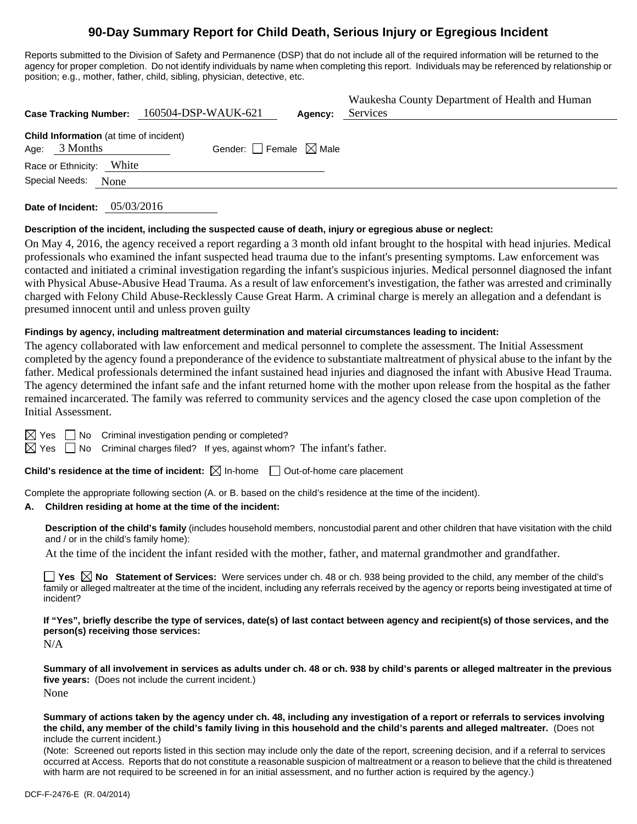## **90-Day Summary Report for Child Death, Serious Injury or Egregious Incident**

Reports submitted to the Division of Safety and Permanence (DSP) that do not include all of the required information will be returned to the agency for proper completion. Do not identify individuals by name when completing this report. Individuals may be referenced by relationship or position; e.g., mother, father, child, sibling, physician, detective, etc.

| Case Tracking Number: 160504-DSP-WAUK-621                         | Waukesha County Department of Health and Human<br>Services<br>Agency: |  |
|-------------------------------------------------------------------|-----------------------------------------------------------------------|--|
| <b>Child Information</b> (at time of incident)<br>Age: $3$ Months | Gender: $\Box$ Female $\boxtimes$ Male                                |  |
| White<br>Race or Ethnicity:<br>Special Needs:<br>None             |                                                                       |  |
|                                                                   |                                                                       |  |

**Date of Incident:** 05/03/2016

## **Description of the incident, including the suspected cause of death, injury or egregious abuse or neglect:**

On May 4, 2016, the agency received a report regarding a 3 month old infant brought to the hospital with head injuries. Medical professionals who examined the infant suspected head trauma due to the infant's presenting symptoms. Law enforcement was contacted and initiated a criminal investigation regarding the infant's suspicious injuries. Medical personnel diagnosed the infant with Physical Abuse-Abusive Head Trauma. As a result of law enforcement's investigation, the father was arrested and criminally charged with Felony Child Abuse-Recklessly Cause Great Harm. A criminal charge is merely an allegation and a defendant is presumed innocent until and unless proven guilty

#### **Findings by agency, including maltreatment determination and material circumstances leading to incident:**

The agency collaborated with law enforcement and medical personnel to complete the assessment. The Initial Assessment completed by the agency found a preponderance of the evidence to substantiate maltreatment of physical abuse to the infant by the father. Medical professionals determined the infant sustained head injuries and diagnosed the infant with Abusive Head Trauma. The agency determined the infant safe and the infant returned home with the mother upon release from the hospital as the father remained incarcerated. The family was referred to community services and the agency closed the case upon completion of the Initial Assessment.

 $\boxtimes$  Yes  $\Box$  No Criminal investigation pending or completed?

 $\boxtimes$  Yes  $\Box$  No Criminal charges filed? If yes, against whom? The infant's father.

**Child's residence at the time of incident:**  $\boxtimes$  In-home  $\Box$  Out-of-home care placement

Complete the appropriate following section (A. or B. based on the child's residence at the time of the incident).

## **A. Children residing at home at the time of the incident:**

**Description of the child's family** (includes household members, noncustodial parent and other children that have visitation with the child and / or in the child's family home):

At the time of the incident the infant resided with the mother, father, and maternal grandmother and grandfather.

■ Yes **No** Statement of Services: Were services under ch. 48 or ch. 938 being provided to the child, any member of the child's family or alleged maltreater at the time of the incident, including any referrals received by the agency or reports being investigated at time of incident?

**If "Yes", briefly describe the type of services, date(s) of last contact between agency and recipient(s) of those services, and the person(s) receiving those services:** 

N/A

**Summary of all involvement in services as adults under ch. 48 or ch. 938 by child's parents or alleged maltreater in the previous five years:** (Does not include the current incident.) None

**Summary of actions taken by the agency under ch. 48, including any investigation of a report or referrals to services involving the child, any member of the child's family living in this household and the child's parents and alleged maltreater.** (Does not include the current incident.)

(Note: Screened out reports listed in this section may include only the date of the report, screening decision, and if a referral to services occurred at Access. Reports that do not constitute a reasonable suspicion of maltreatment or a reason to believe that the child is threatened with harm are not required to be screened in for an initial assessment, and no further action is required by the agency.)